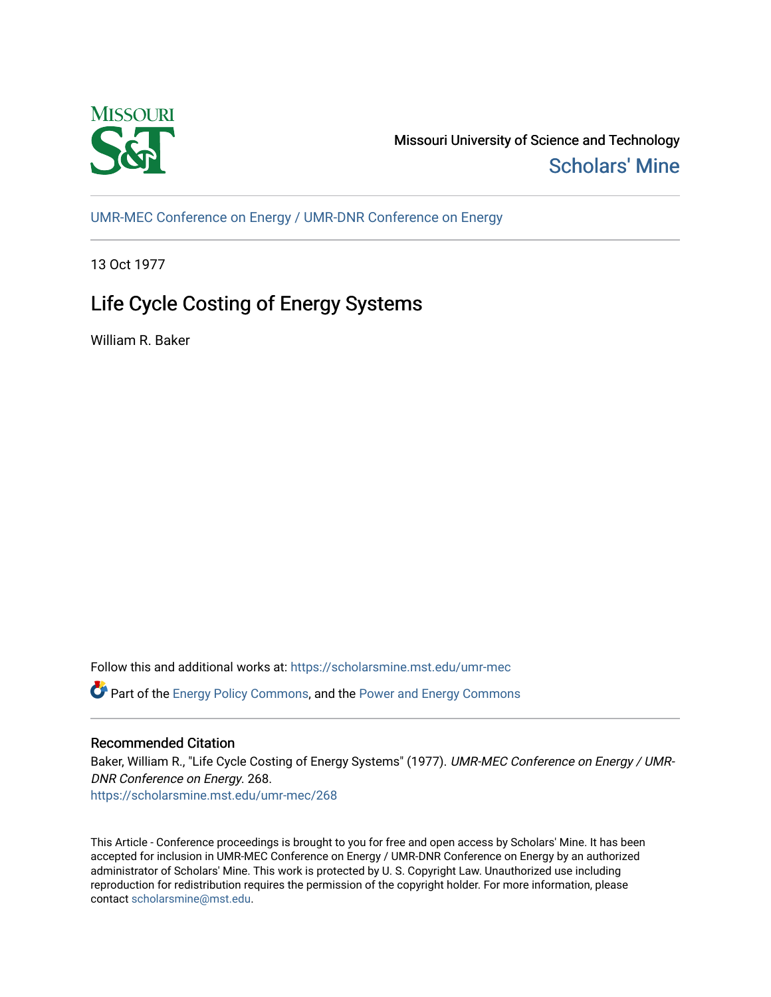

Missouri University of Science and Technology [Scholars' Mine](https://scholarsmine.mst.edu/) 

[UMR-MEC Conference on Energy / UMR-DNR Conference on Energy](https://scholarsmine.mst.edu/umr-mec)

13 Oct 1977

# Life Cycle Costing of Energy Systems

William R. Baker

Follow this and additional works at: [https://scholarsmine.mst.edu/umr-mec](https://scholarsmine.mst.edu/umr-mec?utm_source=scholarsmine.mst.edu%2Fumr-mec%2F268&utm_medium=PDF&utm_campaign=PDFCoverPages) 

 $\bullet$  Part of the [Energy Policy Commons](http://network.bepress.com/hgg/discipline/1065?utm_source=scholarsmine.mst.edu%2Fumr-mec%2F268&utm_medium=PDF&utm_campaign=PDFCoverPages), and the Power and Energy Commons

# Recommended Citation

Baker, William R., "Life Cycle Costing of Energy Systems" (1977). UMR-MEC Conference on Energy / UMR-DNR Conference on Energy. 268.

[https://scholarsmine.mst.edu/umr-mec/268](https://scholarsmine.mst.edu/umr-mec/268?utm_source=scholarsmine.mst.edu%2Fumr-mec%2F268&utm_medium=PDF&utm_campaign=PDFCoverPages) 

This Article - Conference proceedings is brought to you for free and open access by Scholars' Mine. It has been accepted for inclusion in UMR-MEC Conference on Energy / UMR-DNR Conference on Energy by an authorized administrator of Scholars' Mine. This work is protected by U. S. Copyright Law. Unauthorized use including reproduction for redistribution requires the permission of the copyright holder. For more information, please contact [scholarsmine@mst.edu](mailto:scholarsmine@mst.edu).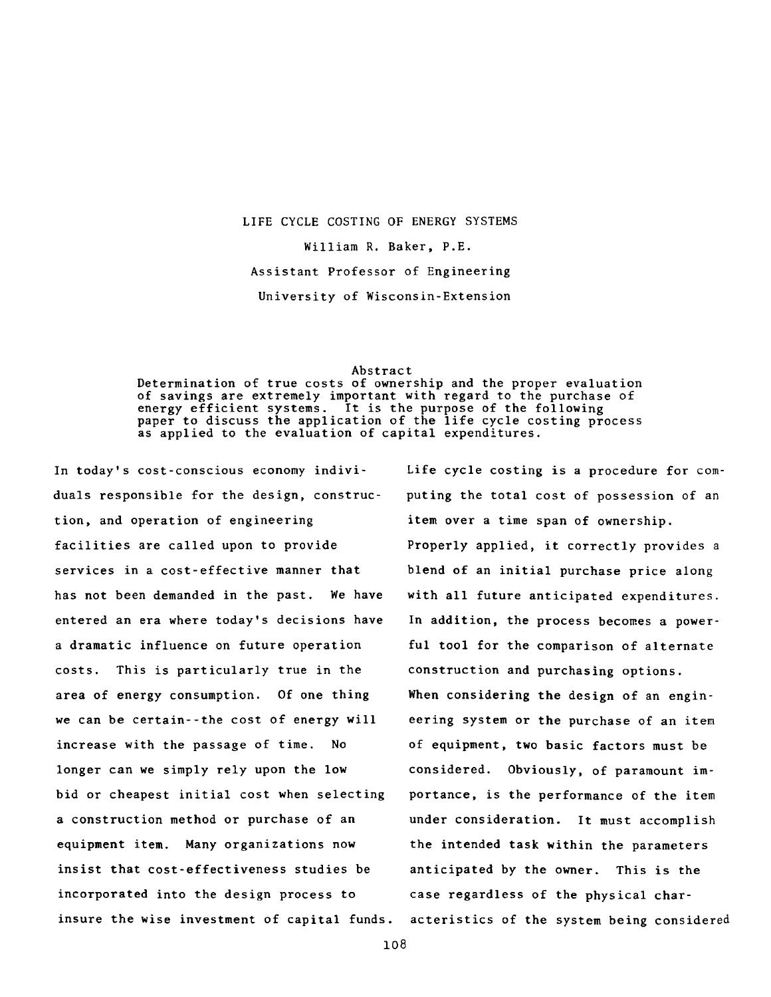# **LIFE CYCLE COSTING OF ENERGY SYSTEMS William R. Baker, P.E. Assistant Professor of Engineering University of Wisconsin-Extension**

#### **Abstract**

**Determination of true costs of ownership and the proper evaluation of savings are extremely important with regard to the purchase of** It is the purpose of the following **paper to discuss the application of the life cycle costing process as applied to the evaluation of capital expenditures.**

**In today's cost-conscious economy individuals responsible for the design, construction, and operation of engineering facilities are called upon to provide services in a cost-effective manner that has not been demanded in the past. We have entered an era where today's decisions have a dramatic influence on future operation costs. This is particularly true in the area of energy consumption. Of one thing we can be certain--the cost of energy will increase with the passage of time. No longer can we simply rely upon the low bid or cheapest initial cost when selecting a construction method or purchase of an equipment item. Many organizations now insist that cost-effectiveness studies be incorporated into the design process to insure the wise investment of capital funds.** **Life cycle costing is a procedure for computing the total cost of possession of an item over a time span of ownership. Properly applied, it correctly provides a blend of an initial purchase price along with all future anticipated expenditures. In addition, the process becomes a powerful tool for the comparison of alternate construction and purchasing options. When considering the design of an engineering system or the purchase of an item of equipment, two basic factors must be considered. Obviously, of paramount importance, is the performance of the item under consideration. It must accomplish the intended task within the parameters anticipated by the owner. This is the case regardless of the physical characteristics of the system being considered**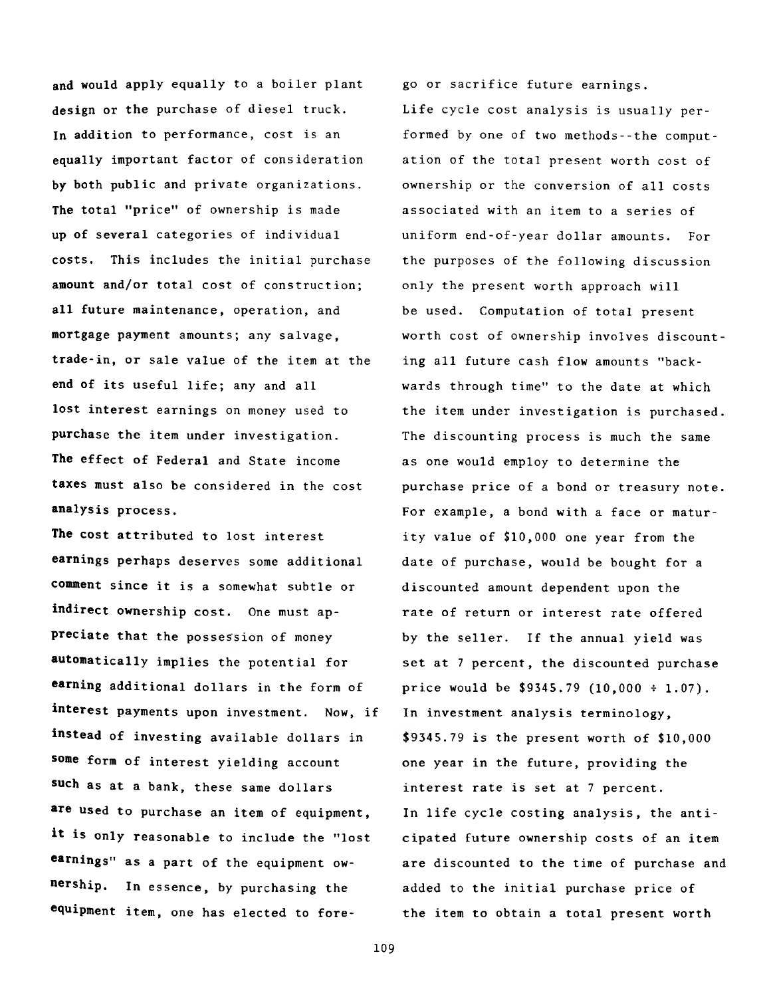**and would apply equally to a boiler plant design or the purchase of diesel truck. In addition to performance, cost is an equally important factor of consideration by both public and private organizations.** The total "price" of ownership is made **up of several categories of individual costs. This includes the initial purchase amount and/or total cost of construction; all future maintenance, operation, and mortgage payment amounts; any salvage, trade-in, or sale value of the item at the end of its useful life; any and all lost interest earnings on money used to purchase the item under investigation. The effect of Federal and State income taxes must also be considered in the cost analysis process.**

**The cost attributed to lost interest earnings perhaps deserves some additional comment since it is a somewhat subtle or indirect ownership cost. One must appreciate that the possession of money automatically implies the potential for earning additional dollars in the form of interest payments upon investment. Now, if instead of investing available dollars in some form of interest yielding account such as at a bank, these same dollars are used to purchase an item of equipment,** it is only reasonable to include the "lost **earnings" as a part of the equipment ownership. In essence, by purchasing the equipment item, one has elected to fore-** **go or sacrifice future earnings.**

**Life cycle cost analysis is usually performed by one of two methods--the computation of the total present worth cost of ownership or the conversion of all costs associated with an item to a series of uniform end-of-year dollar amounts. For the purposes of the following discussion only the present worth approach will be used. Computation of total present worth cost of ownership involves discounting all future cash flow amounts "backwards through time" to the date at which the item under investigation is purchased. The discounting process is much the same as one would employ to determine the purchase price of a bond or treasury note. For example, a bond with a face or maturity value of \$10,000 one year from the date of purchase, would be bought for a discounted amount dependent upon the rate of return or interest rate offered by the seller. If the annual yield was set at 7 percent, the discounted purchase price would be \$9345.79 (10,000 \* 1.07). In investment analysis terminology, \$9345.79 is the present worth of \$10,000 one year in the future, providing the interest rate is set at 7 percent. In life cycle costing analysis, the anticipated future ownership costs of an item are discounted to the time of purchase and added to the initial purchase price of the item to obtain a total present worth**

**109**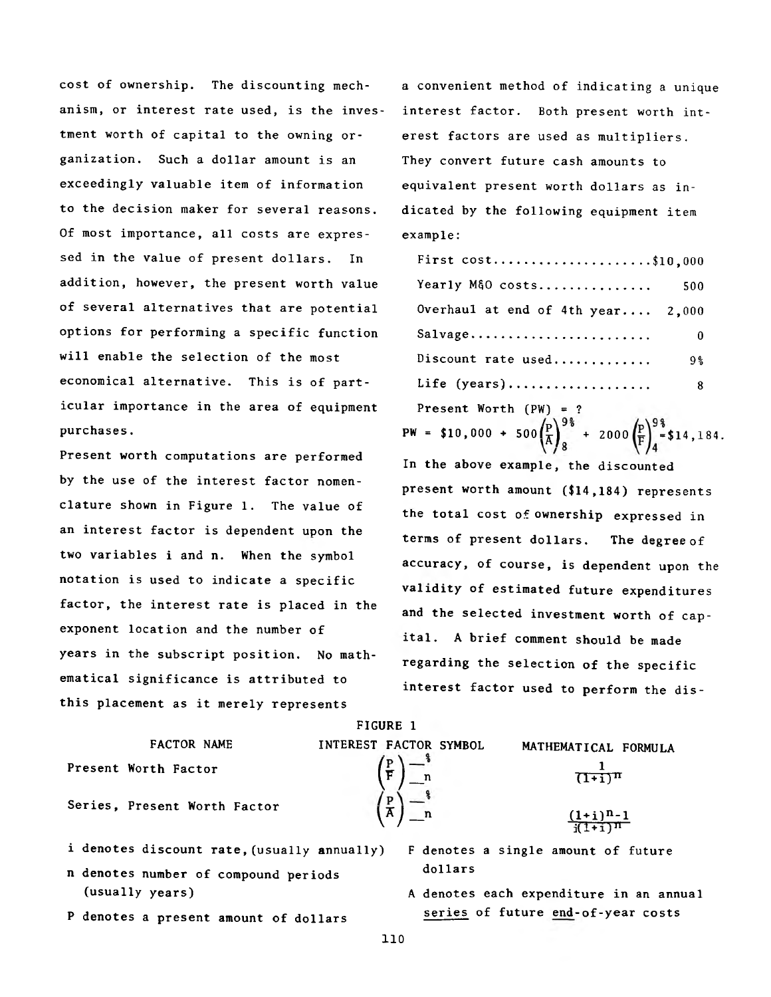**cost of ownership. The discounting mech- a convenient method of indicating a unique anism, or interest rate used, is the inves- interest factor. Both present worth inttment worth of capital to the owning or- erest factors are used as multipliers, ganization. Such a dollar amount is an They convert future cash amounts to exceedingly valuable item of information equivalent present worth dollars as into the decision maker for several reasons. dicated by the following equipment item Of most importance, all costs are expres- example:** sed in the value of present dollars. In addition, however, the present worth value of several alternatives that are potential options for performing a specific function will enable the selection of the most economical alternative. This is of particular importance in the area of equipment Present Worth (PW) = ?

Present worth computations are performed **by the use of the interest factor nomenclature shown in Figure 1. The value of an interest factor is dependent upon the two variables i and n. When the symbol notation is used to indicate a specific ,** factor, the interest rate is placed in the exponent location and the number of years in the subscript position. No math**ematical significance is attributed to . this placement as it merely represents**

| First $cost$ \$10,000             |     |
|-----------------------------------|-----|
| Yearly M&O costs                  | 500 |
| Overhaul at end of 4th year 2,000 |     |
| Salvage                           | 0   |
| Discount rate used                | 9%  |
| Life $(years)$                    | 8.  |

**purchases. PW = \$10,000 + 500** $\left(\frac{P}{A}\right)_8^{9\frac{8}{6}}$  **+ 2000** $\left(\frac{P}{F}\right)_4^{9\frac{8}{6}}$  **\$14,184. In the above example, the discounted present worth amount (\$14,184) represents the total cost of ownership expressed in terms of present dollars. The degree of accuracy, of course, is dependent upon the validity of estimated future expenditures and the selected investment worth of capital. A brief comment should be made regarding the selection of the specific interest factor used to perform the dis-**

|                                             | t tuurb t              |                                     |
|---------------------------------------------|------------------------|-------------------------------------|
| FACTOR NAME                                 | INTEREST FACTOR SYMBOL | MATHEMATICAL FORMULA                |
| Present Worth Factor                        |                        | $(T+1)^n$                           |
| Series, Present Worth Factor                | $\bar{A}$ n            | $\frac{(1+i)^{n-1}}{i(1+i)^n}$      |
| i denotes discount rate, (usually annually) |                        | F denotes a single amount of future |

**FIGURE 1**

**n denotes number of compound periods dollars (usually years) A denotes each expenditure in an annual**

P denotes a present amount of dollars **series of future end-of-year costs** 

**110**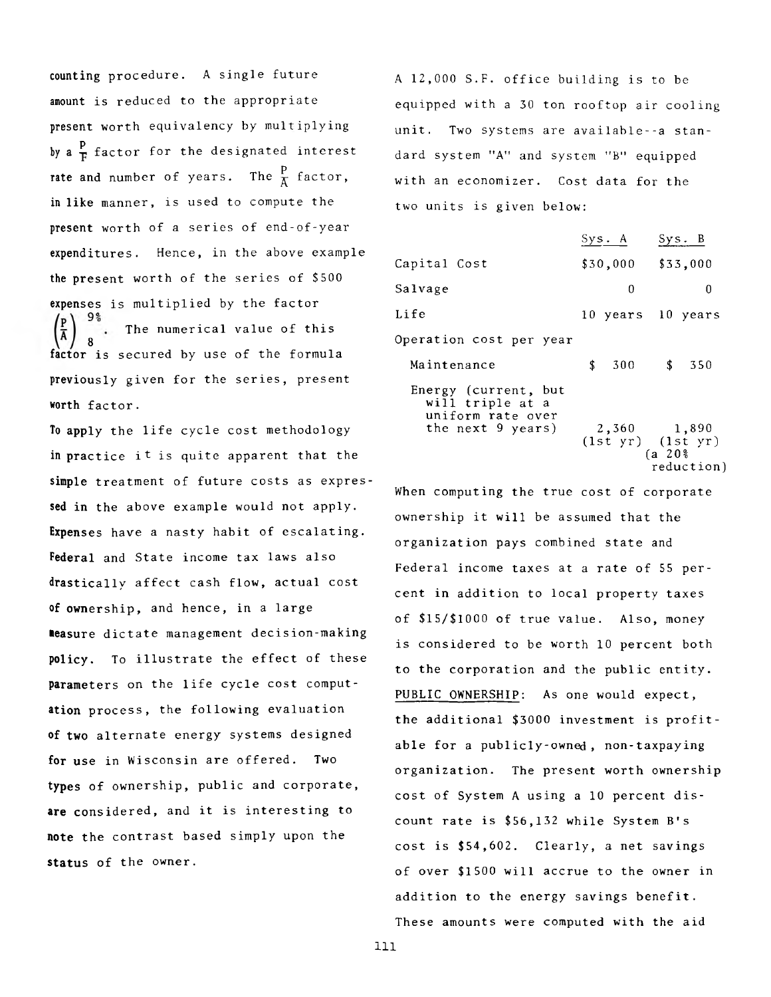counting procedure. A single future amount is reduced to the appropriate present worth equivalency by multiplying by a  $\frac{p}{T}$  factor for the designated interest **rate and number of years.** The  $\frac{P}{X}$  factor, in like manner, is used to compute the present worth of a series of end-of-year expenditures. Hence, in the above example the present worth of the series of \$500 expenses is multiplied by the factor The numerical value of this secured by use of the formula previously given for the series, present worth factor. 8 factor is

To apply the life cycle cost methodology in practice it is quite apparent that the **simple** treatment of future costs as expres**sed in** the above example would not apply. **Expenses** have a nasty habit of escalating. **Federal** and State income tax laws also **drastically** affect cash flow, actual cost **of ownership,** and hence, in a large **measure** dictate management decision-making **policy.** To illustrate the effect of these **parameters** on the life cycle cost comput**ation** process, the following evaluation **of two** alternate energy systems designed **for use** in Wisconsin are offered. Two **types** of ownership, public and corporate, **are** considered, and it is interesting to **note the** contrast based simply upon the **status** of the owner.

A 12,000 S.F. office building is to be equipped with a 30 ton rooftop air cooling unit. Two systems are available--a standard system "A" and system "B" equipped with an economizer. Cost data for the two units is given below:

|                                                                                    | Sys. A            |             | Sys. B                              |  |  |
|------------------------------------------------------------------------------------|-------------------|-------------|-------------------------------------|--|--|
| Capital Cost                                                                       |                   |             | $$30,000$ $$33,000$                 |  |  |
| Salvage                                                                            | 0                 |             | 0                                   |  |  |
| Life                                                                               | 10 years 10 years |             |                                     |  |  |
| Operation cost per year                                                            |                   |             |                                     |  |  |
| Maintenance                                                                        | \$<br>300 \$ 350  |             |                                     |  |  |
| Energy (current, but<br>will triple at a<br>uniform rate over<br>the next 9 years) | 2,360 1,890       | $(a \ 20\%$ | $(1st yr)$ $(1st yr)$<br>reduction) |  |  |

When computing the true cost of corporate ownership it will be assumed that the organization pays combined state and Federal income taxes at a rate of 55 percent in addition to local property taxes of \$15/\$1000 of true value. Also, money is considered to be worth 10 percent both to the corporation and the public entity. PUBLIC OWNERSHIP: As one would expect, the additional \$3000 investment is profitable for a publicly-owned, non-taxpaying organization. The present worth ownership cost of System A using a 10 percent discount rate is \$56,132 while System B's cost is \$54,602. Clearly, a net savings of over \$1500 will accrue to the owner in addition to the energy savings benefit. These amounts were computed with the aid

**111**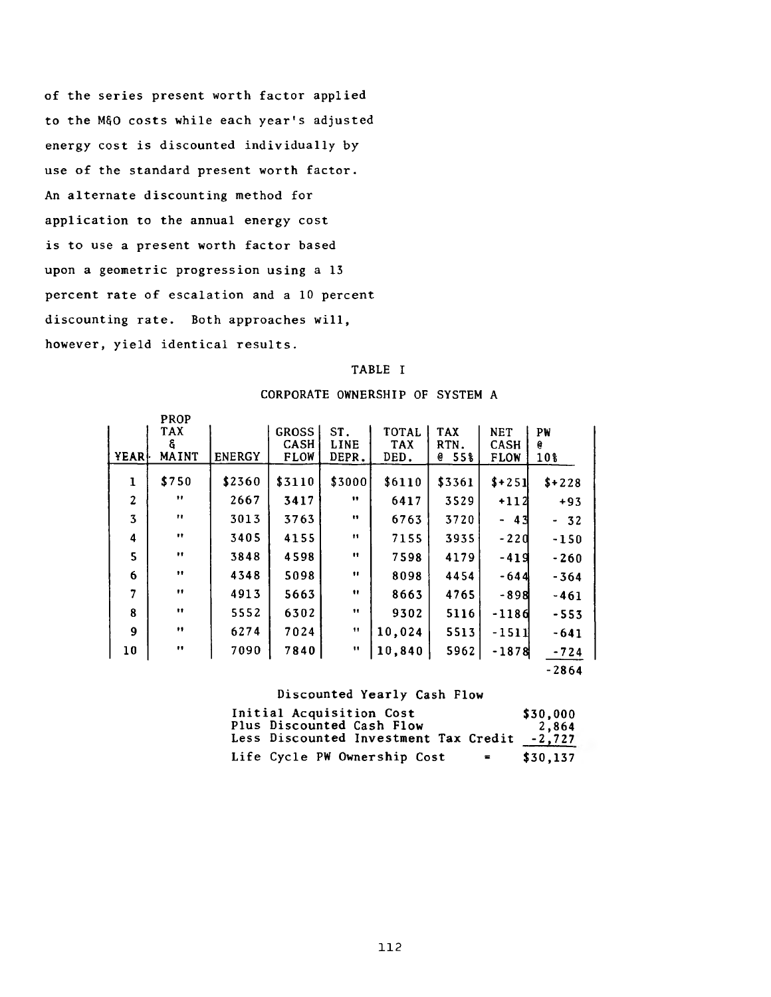**of the series present worth factor applied to the M§0 costs while each year's adjusted energy cost is discounted individually by use of the standard present worth factor. An alternate discounting method for application to the annual energy cost is to use a present worth factor based upon a geometric progression using a 13 percent rate of escalation and a 10 percent discounting rate. Both approaches will, however, yield identical results.**

### **TABLE I**

## **CORPORATE OWNERSHIP OF SYSTEM A**

|                | <b>PROP</b>       |               |              |                  |            |            |                                |         |
|----------------|-------------------|---------------|--------------|------------------|------------|------------|--------------------------------|---------|
|                | <b>TAX</b>        |               | <b>GROSS</b> | ST.              | TOTAL      | <b>TAX</b> | <b>NET</b>                     | PW      |
|                | G                 |               | <b>CASH</b>  | LINE             | <b>TAX</b> | RTN.       | CASH                           | e       |
| YEAR           | <b>MAINT</b>      | <b>ENERGY</b> | <b>FLOW</b>  | DEPR.            | DED.       | 55%<br>e   | <b>FLOW</b>                    | 10%     |
|                |                   |               |              |                  |            |            |                                |         |
| ı              | \$750             | \$2360        | \$3110       | \$3000           | \$6110     | \$3361     | $$+251$                        | $$+228$ |
| $\overline{2}$ | ,,                | 2667          | 3417         | $\mathbf{12}$    | 6417       | 3529       | +112                           | $+93$   |
| 3              | $\bullet$         | 3013          | 3763         | $\bullet$        | 6763       | 3720       | 43<br>$\overline{\phantom{a}}$ | $-32$   |
| 4              | $\bullet$         | 3405          | 4155         | $^{\bullet}$     | 7155       | 3935       | $-220$                         | $-150$  |
| 5              |                   | 3848          | 4598         | $\mathbf{H}$     | 7598       | 4179       | -419                           | -260    |
| 6              | $\bullet \bullet$ | 4348          | 5098         | $\bullet$        | 8098       | 4454       | -644                           | $-364$  |
| 7              | 11                | 4913          | 5663         | $\bullet$        | 8663       | 4765       | -8981                          | $-461$  |
| 8              | Ħ                 | 5552          | 6302         | $\bullet\bullet$ | 9302       | 5116       | -1186                          | $-553$  |
| 9              | $\bullet$         | 6274          | 7024         | $\mathbf{H}$     | 10,024     | 5513       | -1511                          | $-641$  |
| 10             |                   | 7090          | 7840         | 11               | 10,840     | 5962       | -1878                          | $-724$  |
|                |                   |               |              |                  |            |            |                                | $-2864$ |

## **Discounted Yearly Cash Flow**

| Initial Acquisition Cost                     | \$30,000 |
|----------------------------------------------|----------|
| Plus Discounted Cash Flow                    | 2.864    |
| Less Discounted Investment Tax Credit        | $-2,727$ |
| Life Cycle PW Ownership Cost<br>$\mathbf{r}$ | \$30,137 |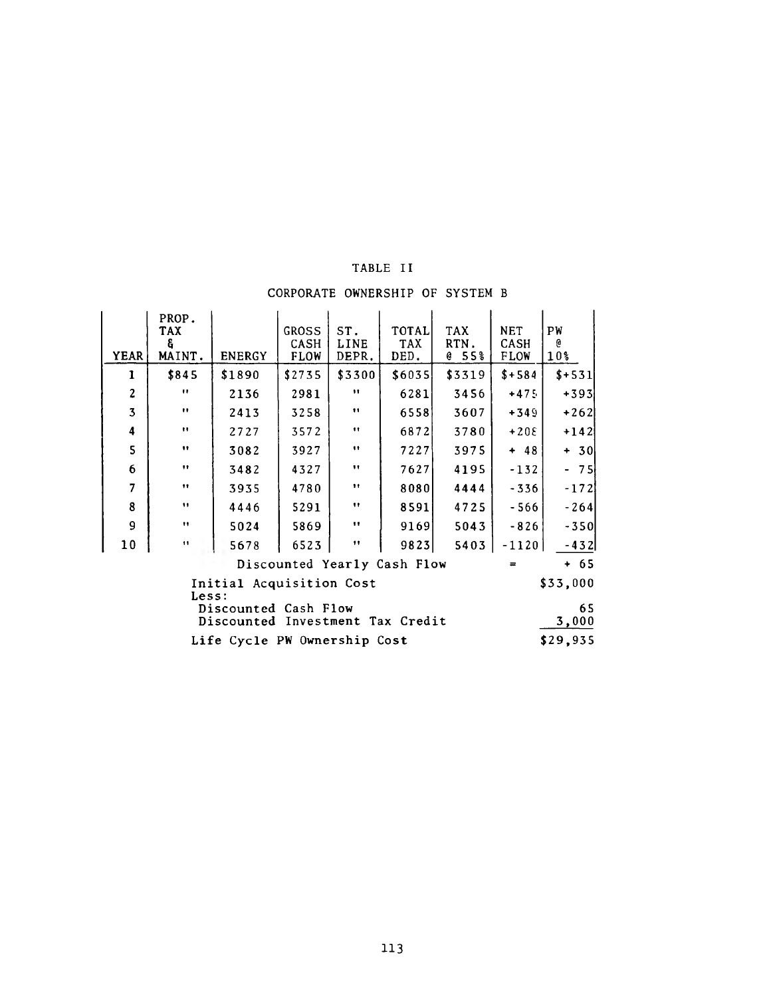# **TABLE II**

# **CORPORATE OWNERSHIP OF SYSTEM B**

| <b>YEAR</b>                                                             | PROP.<br>TAX<br>å.<br>MAINT. | <b>ENERGY</b>                | <b>GROSS</b><br>CASH<br><b>FLOW</b> | ST.<br>LINE<br>DEPR.     | TOTALI<br><b>TAX</b><br>DED. | TAX<br>RTN.<br>e 55% | <b>NET</b><br><b>CASH</b><br><b>FLOW</b> | PW<br>e<br>10% |
|-------------------------------------------------------------------------|------------------------------|------------------------------|-------------------------------------|--------------------------|------------------------------|----------------------|------------------------------------------|----------------|
| 1                                                                       | \$845                        | \$1890                       | \$2735                              | \$3300                   | \$6035]                      | \$3319               | $$+584$                                  | $$+531$        |
| $\boldsymbol{z}$                                                        | $\mathbf{H}$                 | 2136                         | 2981                                | $\bullet$                | 6281                         | 3456                 | $+475$                                   | $+393$         |
| $\overline{\mathbf{3}}$                                                 | $\pmb{\cdot}$                | 2413                         | 3258                                | $\bullet$                | 6558                         | 3607                 | $+349$                                   | $+262$         |
| 4                                                                       | $\pmb{\cdot}$                | 2727                         | 3572                                | $\bullet\bullet$         | 6872                         | 3780                 | $+20E$                                   | $+142$         |
| 5                                                                       | $\pmb{\mathfrak{v}}$         | 3082                         | 3927                                | $\bullet$                | 7227                         | 3975                 | $+ 48$                                   | $+ 30$         |
| 6                                                                       | $\bullet\bullet$             | 3482                         | 4327                                | $\pmb{\scriptstyle{11}}$ | 7627                         | 4195                 | $-132$                                   | $-75$          |
| $\overline{7}$                                                          | $\bullet\bullet$             | 3935                         | 4780                                | $\pmb{\cdot}$            | 80801                        | 4444                 | $-336$                                   | -1721          |
| 8                                                                       | $\mathbf{H}$                 | 4446                         | 5291                                | $\pmb{\mathsf{t}}$       | 8591                         | 4725                 | $-566$                                   | $-264$         |
| 9                                                                       | $\pmb{\cdots}$               | 5024                         | 5869                                | $\pmb{\mathsf{m}}$       | 9169                         | 5043                 | $-826$                                   | $-350$         |
| 10                                                                      | $\mathbf{H}$                 | 5678                         | 6523                                | $^{\bullet\bullet}$      | 9823                         | 5403                 | $-1120$                                  | $-432$         |
| $+ 65$<br>Discounted Yearly Cash Flow<br>$\equiv$                       |                              |                              |                                     |                          |                              |                      |                                          |                |
| \$33,000<br>Initial Acquisition Cost<br>Less:                           |                              |                              |                                     |                          |                              |                      |                                          |                |
| 65<br>Discounted Cash Flow<br>3,000<br>Discounted Investment Tax Credit |                              |                              |                                     |                          |                              |                      |                                          |                |
|                                                                         |                              | Life Cycle PW Ownership Cost |                                     |                          |                              |                      |                                          | \$29,935       |